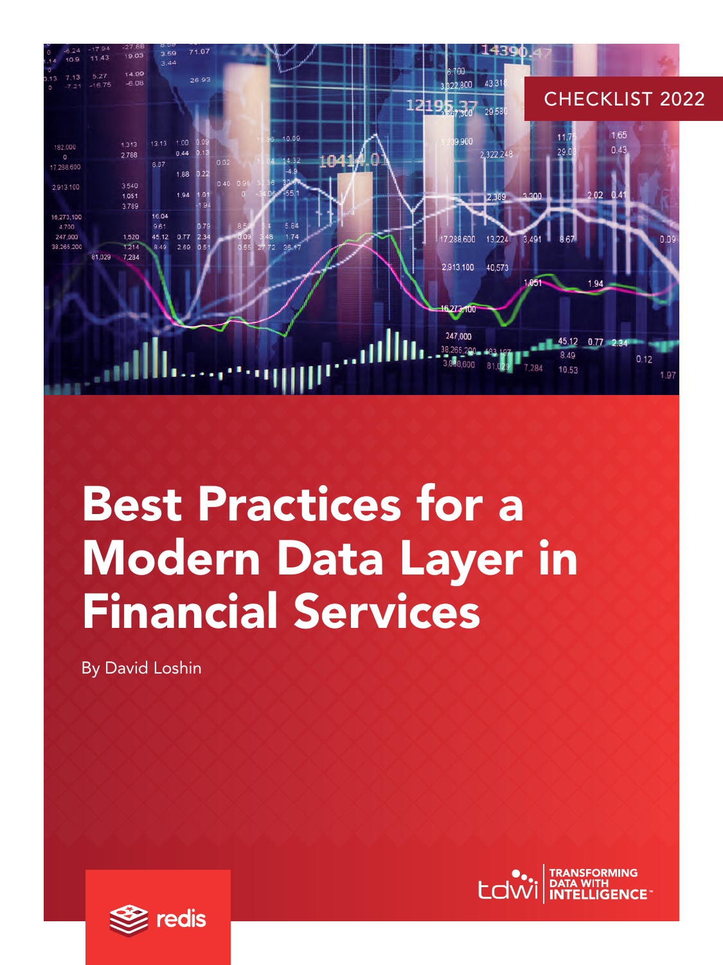

# Best Practices for a Modern Data Layer in Financial Services

By David Loshin



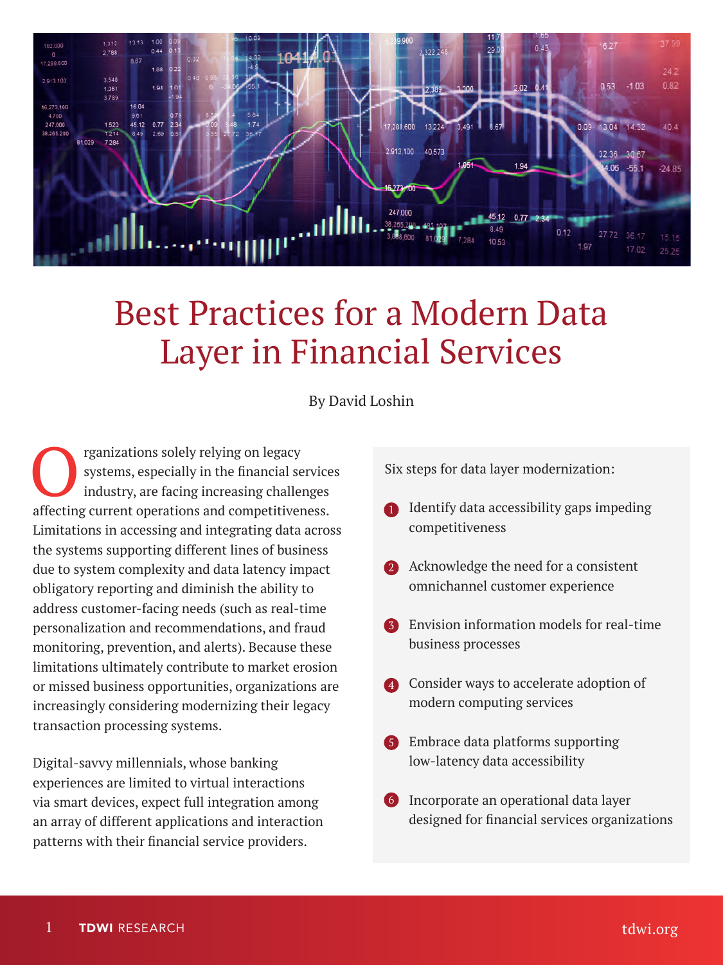

### Best Practices for a Modern Data Layer in Financial Services

By David Loshin

The regards of the specially in the financial sequences industry, are facing increasing challer affecting are approximate of the specially in the financial sequence in the financial sequence of  $\epsilon$ systems, especially in the financial services industry, are facing increasing challenges affecting current operations and competitiveness. Limitations in accessing and integrating data across the systems supporting different lines of business due to system complexity and data latency impact obligatory reporting and diminish the ability to address customer-facing needs (such as real-time personalization and recommendations, and fraud monitoring, prevention, and alerts). Because these limitations ultimately contribute to market erosion or missed business opportunities, organizations are increasingly considering modernizing their legacy transaction processing systems.

Digital-savvy millennials, whose banking experiences are limited to virtual interactions via smart devices, expect full integration among an array of different applications and interaction patterns with their financial service providers.

Six steps for data layer modernization:

- 1 Identify data accessibility gaps impeding competitiveness
- 2 Acknowledge the need for a consistent omnichannel customer experience
- **3** Envision information models for real-time business processes
- 4 Consider ways to accelerate adoption of modern computing services
- 5 Embrace data platforms supporting low-latency data accessibility
- **6** Incorporate an operational data layer designed for financial services organizations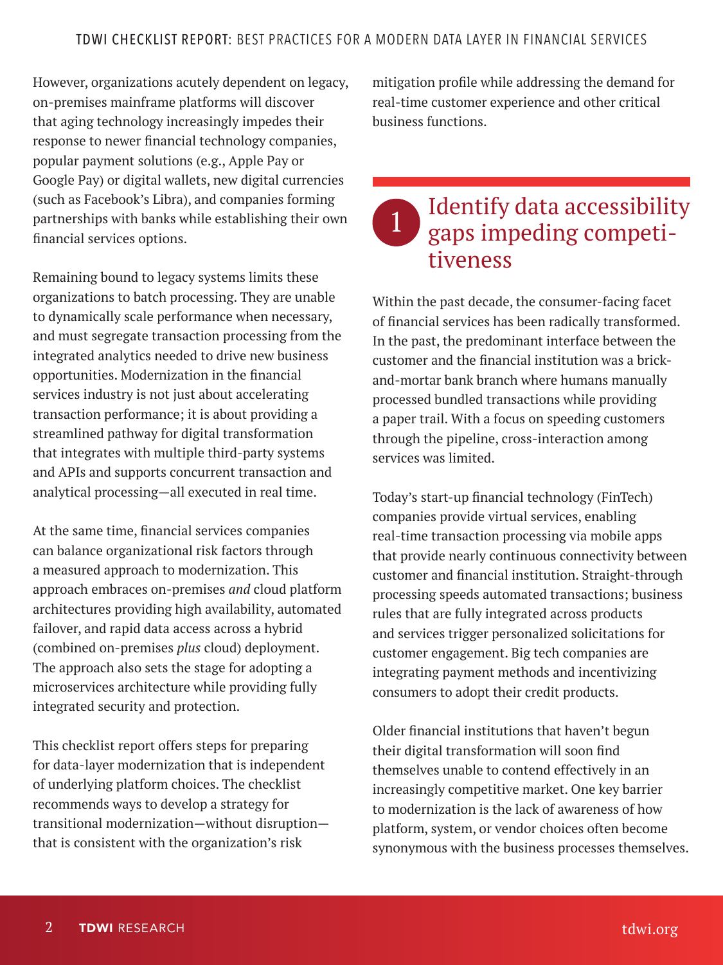However, organizations acutely dependent on legacy, on-premises mainframe platforms will discover that aging technology increasingly impedes their response to newer financial technology companies, popular payment solutions (e.g., Apple Pay or Google Pay) or digital wallets, new digital currencies (such as Facebook's Libra), and companies forming partnerships with banks while establishing their own financial services options.

Remaining bound to legacy systems limits these organizations to batch processing. They are unable to dynamically scale performance when necessary, and must segregate transaction processing from the integrated analytics needed to drive new business opportunities. Modernization in the financial services industry is not just about accelerating transaction performance; it is about providing a streamlined pathway for digital transformation that integrates with multiple third-party systems and APIs and supports concurrent transaction and analytical processing—all executed in real time.

At the same time, financial services companies can balance organizational risk factors through a measured approach to modernization. This approach embraces on-premises *and* cloud platform architectures providing high availability, automated failover, and rapid data access across a hybrid (combined on-premises *plus* cloud) deployment. The approach also sets the stage for adopting a microservices architecture while providing fully integrated security and protection.

This checklist report offers steps for preparing for data-layer modernization that is independent of underlying platform choices. The checklist recommends ways to develop a strategy for transitional modernization—without disruption that is consistent with the organization's risk

mitigation profile while addressing the demand for real-time customer experience and other critical business functions.

## 1 Identify data accessibility<br>gaps impeding competitiveness

Within the past decade, the consumer-facing facet of financial services has been radically transformed. In the past, the predominant interface between the customer and the financial institution was a brickand-mortar bank branch where humans manually processed bundled transactions while providing a paper trail. With a focus on speeding customers through the pipeline, cross-interaction among services was limited.

Today's start-up financial technology (FinTech) companies provide virtual services, enabling real-time transaction processing via mobile apps that provide nearly continuous connectivity between customer and financial institution. Straight-through processing speeds automated transactions; business rules that are fully integrated across products and services trigger personalized solicitations for customer engagement. Big tech companies are integrating payment methods and incentivizing consumers to adopt their credit products.

Older financial institutions that haven't begun their digital transformation will soon find themselves unable to contend effectively in an increasingly competitive market. One key barrier to modernization is the lack of awareness of how platform, system, or vendor choices often become synonymous with the business processes themselves.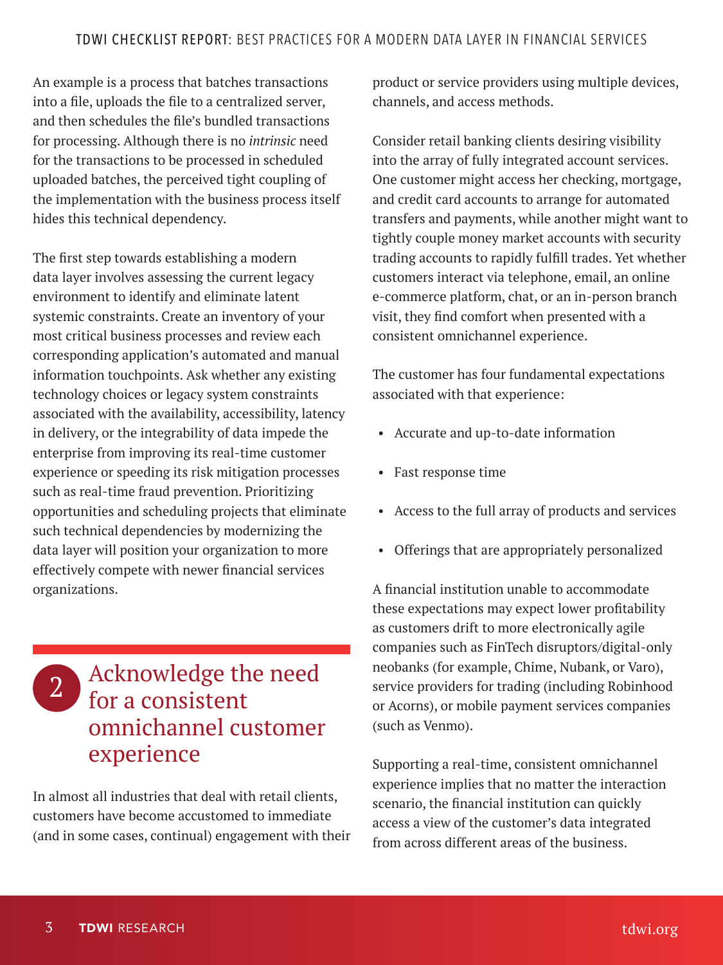An example is a process that batches transactions into a file, uploads the file to a centralized server, and then schedules the file's bundled transactions for processing. Although there is no *intrinsic* need for the transactions to be processed in scheduled uploaded batches, the perceived tight coupling of the implementation with the business process itself hides this technical dependency.

The first step towards establishing a modern data layer involves assessing the current legacy environment to identify and eliminate latent systemic constraints. Create an inventory of your most critical business processes and review each corresponding application's automated and manual information touchpoints. Ask whether any existing technology choices or legacy system constraints associated with the availability, accessibility, latency in delivery, or the integrability of data impede the enterprise from improving its real-time customer experience or speeding its risk mitigation processes such as real-time fraud prevention. Prioritizing opportunities and scheduling projects that eliminate such technical dependencies by modernizing the data layer will position your organization to more effectively compete with newer financial services organizations.

#### 2 Acknowledge the need for a consistent omnichannel customer experience

In almost all industries that deal with retail clients, customers have become accustomed to immediate (and in some cases, continual) engagement with their

product or service providers using multiple devices, channels, and access methods.

Consider retail banking clients desiring visibility into the array of fully integrated account services. One customer might access her checking, mortgage, and credit card accounts to arrange for automated transfers and payments, while another might want to tightly couple money market accounts with security trading accounts to rapidly fulfill trades. Yet whether customers interact via telephone, email, an online e-commerce platform, chat, or an in-person branch visit, they find comfort when presented with a consistent omnichannel experience.

The customer has four fundamental expectations associated with that experience:

- Accurate and up-to-date information
- Fast response time
- Access to the full array of products and services
- Offerings that are appropriately personalized

A financial institution unable to accommodate these expectations may expect lower profitability as customers drift to more electronically agile companies such as FinTech disruptors/digital-only neobanks (for example, Chime, Nubank, or Varo), service providers for trading (including Robinhood or Acorns), or mobile payment services companies (such as Venmo).

Supporting a real-time, consistent omnichannel experience implies that no matter the interaction scenario, the financial institution can quickly access a view of the customer's data integrated from across different areas of the business.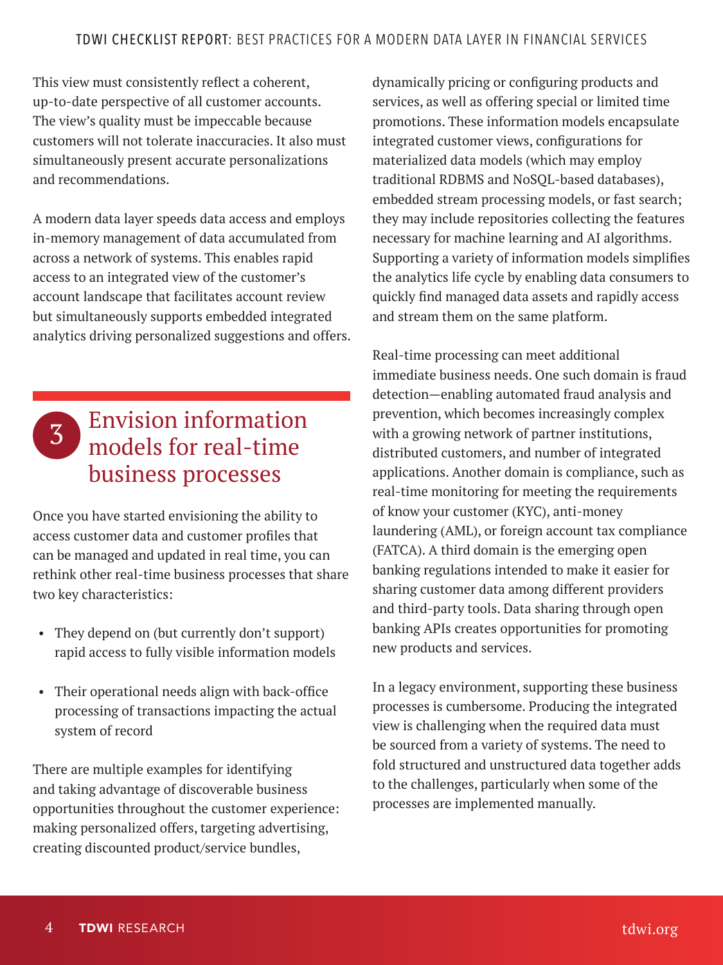This view must consistently reflect a coherent, up-to-date perspective of all customer accounts. The view's quality must be impeccable because customers will not tolerate inaccuracies. It also must simultaneously present accurate personalizations and recommendations.

A modern data layer speeds data access and employs in-memory management of data accumulated from across a network of systems. This enables rapid access to an integrated view of the customer's account landscape that facilitates account review but simultaneously supports embedded integrated analytics driving personalized suggestions and offers.

#### 3 Envision information models for real-time business processes

Once you have started envisioning the ability to access customer data and customer profiles that can be managed and updated in real time, you can rethink other real-time business processes that share two key characteristics:

- They depend on (but currently don't support) rapid access to fully visible information models
- Their operational needs align with back-office processing of transactions impacting the actual system of record

There are multiple examples for identifying and taking advantage of discoverable business opportunities throughout the customer experience: making personalized offers, targeting advertising, creating discounted product/service bundles,

dynamically pricing or configuring products and services, as well as offering special or limited time promotions. These information models encapsulate integrated customer views, configurations for materialized data models (which may employ traditional RDBMS and NoSQL-based databases), embedded stream processing models, or fast search; they may include repositories collecting the features necessary for machine learning and AI algorithms. Supporting a variety of information models simplifies the analytics life cycle by enabling data consumers to quickly find managed data assets and rapidly access and stream them on the same platform.

Real-time processing can meet additional immediate business needs. One such domain is fraud detection—enabling automated fraud analysis and prevention, which becomes increasingly complex with a growing network of partner institutions, distributed customers, and number of integrated applications. Another domain is compliance, such as real-time monitoring for meeting the requirements of know your customer (KYC), anti-money laundering (AML), or foreign account tax compliance (FATCA). A third domain is the emerging open banking regulations intended to make it easier for sharing customer data among different providers and third-party tools. Data sharing through open banking APIs creates opportunities for promoting new products and services.

In a legacy environment, supporting these business processes is cumbersome. Producing the integrated view is challenging when the required data must be sourced from a variety of systems. The need to fold structured and unstructured data together adds to the challenges, particularly when some of the processes are implemented manually.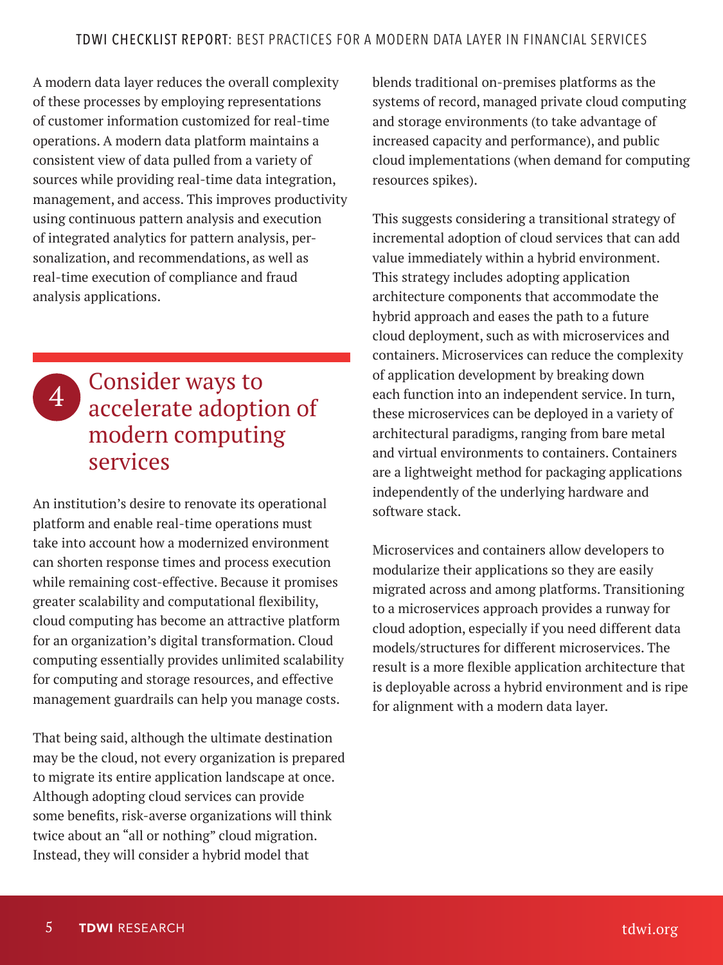A modern data layer reduces the overall complexity of these processes by employing representations of customer information customized for real-time operations. A modern data platform maintains a consistent view of data pulled from a variety of sources while providing real-time data integration, management, and access. This improves productivity using continuous pattern analysis and execution of integrated analytics for pattern analysis, personalization, and recommendations, as well as real-time execution of compliance and fraud analysis applications.



An institution's desire to renovate its operational platform and enable real-time operations must take into account how a modernized environment can shorten response times and process execution while remaining cost-effective. Because it promises greater scalability and computational flexibility, cloud computing has become an attractive platform for an organization's digital transformation. Cloud computing essentially provides unlimited scalability for computing and storage resources, and effective management guardrails can help you manage costs.

That being said, although the ultimate destination may be the cloud, not every organization is prepared to migrate its entire application landscape at once. Although adopting cloud services can provide some benefits, risk-averse organizations will think twice about an "all or nothing" cloud migration. Instead, they will consider a hybrid model that

blends traditional on-premises platforms as the systems of record, managed private cloud computing and storage environments (to take advantage of increased capacity and performance), and public cloud implementations (when demand for computing resources spikes).

This suggests considering a transitional strategy of incremental adoption of cloud services that can add value immediately within a hybrid environment. This strategy includes adopting application architecture components that accommodate the hybrid approach and eases the path to a future cloud deployment, such as with microservices and containers. Microservices can reduce the complexity of application development by breaking down each function into an independent service. In turn, these microservices can be deployed in a variety of architectural paradigms, ranging from bare metal and virtual environments to containers. Containers are a lightweight method for packaging applications independently of the underlying hardware and software stack.

Microservices and containers allow developers to modularize their applications so they are easily migrated across and among platforms. Transitioning to a microservices approach provides a runway for cloud adoption, especially if you need different data models/structures for different microservices. The result is a more flexible application architecture that is deployable across a hybrid environment and is ripe for alignment with a modern data layer.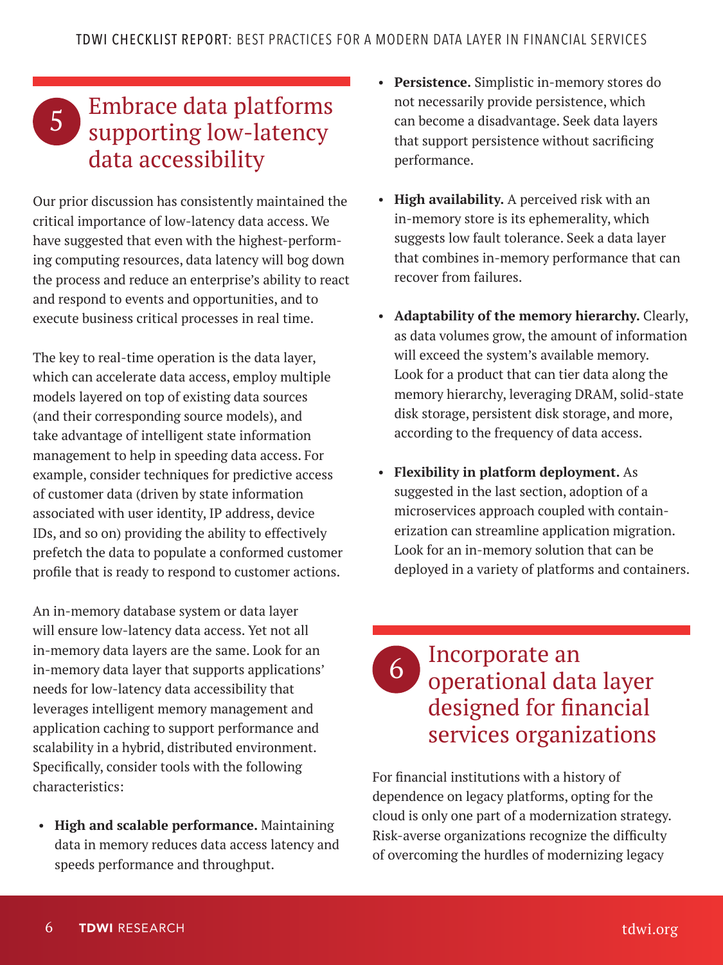## <sup>5</sup> Embrace data platforms supporting low-latency data accessibility

Our prior discussion has consistently maintained the critical importance of low-latency data access. We have suggested that even with the highest-performing computing resources, data latency will bog down the process and reduce an enterprise's ability to react and respond to events and opportunities, and to execute business critical processes in real time.

The key to real-time operation is the data layer, which can accelerate data access, employ multiple models layered on top of existing data sources (and their corresponding source models), and take advantage of intelligent state information management to help in speeding data access. For example, consider techniques for predictive access of customer data (driven by state information associated with user identity, IP address, device IDs, and so on) providing the ability to effectively prefetch the data to populate a conformed customer profile that is ready to respond to customer actions.

An in-memory database system or data layer will ensure low-latency data access. Yet not all in-memory data layers are the same. Look for an in-memory data layer that supports applications' needs for low-latency data accessibility that leverages intelligent memory management and application caching to support performance and scalability in a hybrid, distributed environment. Specifically, consider tools with the following characteristics:

• **High and scalable performance.** Maintaining data in memory reduces data access latency and speeds performance and throughput.

- **Persistence.** Simplistic in-memory stores do not necessarily provide persistence, which can become a disadvantage. Seek data layers that support persistence without sacrificing performance.
- **High availability.** A perceived risk with an in-memory store is its ephemerality, which suggests low fault tolerance. Seek a data layer that combines in-memory performance that can recover from failures.
- **Adaptability of the memory hierarchy.** Clearly, as data volumes grow, the amount of information will exceed the system's available memory. Look for a product that can tier data along the memory hierarchy, leveraging DRAM, solid-state disk storage, persistent disk storage, and more, according to the frequency of data access.
- **Flexibility in platform deployment.** As suggested in the last section, adoption of a microservices approach coupled with containerization can streamline application migration. Look for an in-memory solution that can be deployed in a variety of platforms and containers.

#### **6** Incorporate an operational data layer designed for financial services organizations

For financial institutions with a history of dependence on legacy platforms, opting for the cloud is only one part of a modernization strategy. Risk-averse organizations recognize the difficulty of overcoming the hurdles of modernizing legacy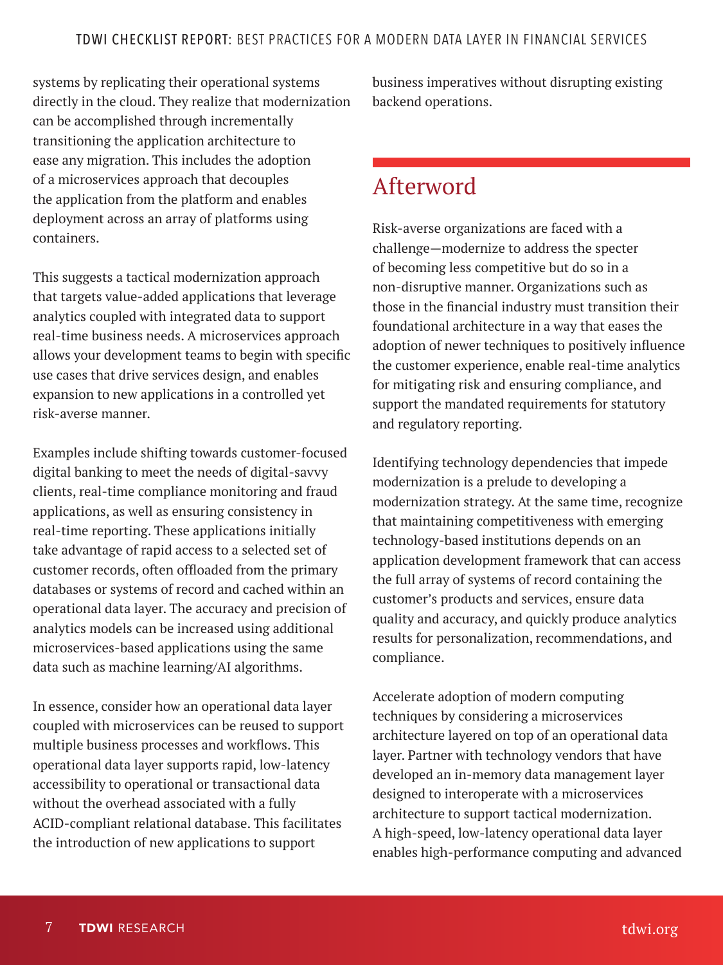systems by replicating their operational systems directly in the cloud. They realize that modernization can be accomplished through incrementally transitioning the application architecture to ease any migration. This includes the adoption of a microservices approach that decouples the application from the platform and enables deployment across an array of platforms using containers.

This suggests a tactical modernization approach that targets value-added applications that leverage analytics coupled with integrated data to support real-time business needs. A microservices approach allows your development teams to begin with specific use cases that drive services design, and enables expansion to new applications in a controlled yet risk-averse manner.

Examples include shifting towards customer-focused digital banking to meet the needs of digital-savvy clients, real-time compliance monitoring and fraud applications, as well as ensuring consistency in real-time reporting. These applications initially take advantage of rapid access to a selected set of customer records, often offloaded from the primary databases or systems of record and cached within an operational data layer. The accuracy and precision of analytics models can be increased using additional microservices-based applications using the same data such as machine learning/AI algorithms.

In essence, consider how an operational data layer coupled with microservices can be reused to support multiple business processes and workflows. This operational data layer supports rapid, low-latency accessibility to operational or transactional data without the overhead associated with a fully ACID-compliant relational database. This facilitates the introduction of new applications to support

business imperatives without disrupting existing backend operations.

#### Afterword

Risk-averse organizations are faced with a challenge—modernize to address the specter of becoming less competitive but do so in a non-disruptive manner. Organizations such as those in the financial industry must transition their foundational architecture in a way that eases the adoption of newer techniques to positively influence the customer experience, enable real-time analytics for mitigating risk and ensuring compliance, and support the mandated requirements for statutory and regulatory reporting.

Identifying technology dependencies that impede modernization is a prelude to developing a modernization strategy. At the same time, recognize that maintaining competitiveness with emerging technology-based institutions depends on an application development framework that can access the full array of systems of record containing the customer's products and services, ensure data quality and accuracy, and quickly produce analytics results for personalization, recommendations, and compliance.

Accelerate adoption of modern computing techniques by considering a microservices architecture layered on top of an operational data layer. Partner with technology vendors that have developed an in-memory data management layer designed to interoperate with a microservices architecture to support tactical modernization. A high-speed, low-latency operational data layer enables high-performance computing and advanced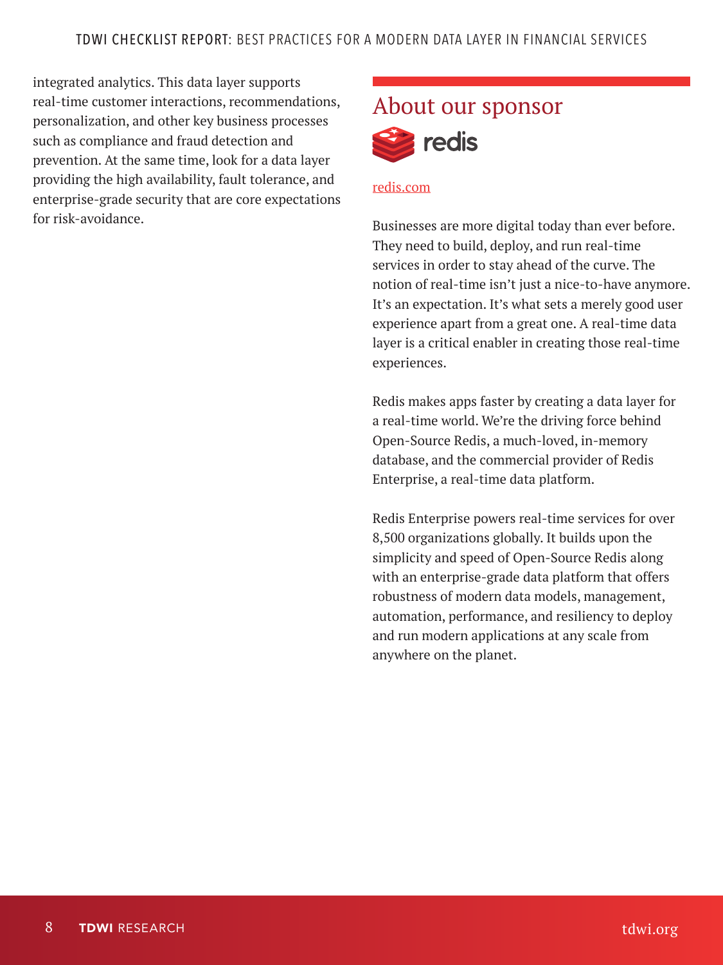integrated analytics. This data layer supports real-time customer interactions, recommendations, personalization, and other key business processes such as compliance and fraud detection and prevention. At the same time, look for a data layer providing the high availability, fault tolerance, and enterprise-grade security that are core expectations for risk-avoidance.



#### [redis.com](https://redis.com )

Businesses are more digital today than ever before. They need to build, deploy, and run real-time services in order to stay ahead of the curve. The notion of real-time isn't just a nice-to-have anymore. It's an expectation. It's what sets a merely good user experience apart from a great one. A real-time data layer is a critical enabler in creating those real-time experiences.

Redis makes apps faster by creating a data layer for a real-time world. We're the driving force behind Open-Source Redis, a much-loved, in-memory database, and the commercial provider of Redis Enterprise, a real-time data platform.

Redis Enterprise powers real-time services for over 8,500 organizations globally. It builds upon the simplicity and speed of Open-Source Redis along with an enterprise-grade data platform that offers robustness of modern data models, management, automation, performance, and resiliency to deploy and run modern applications at any scale from anywhere on the planet.